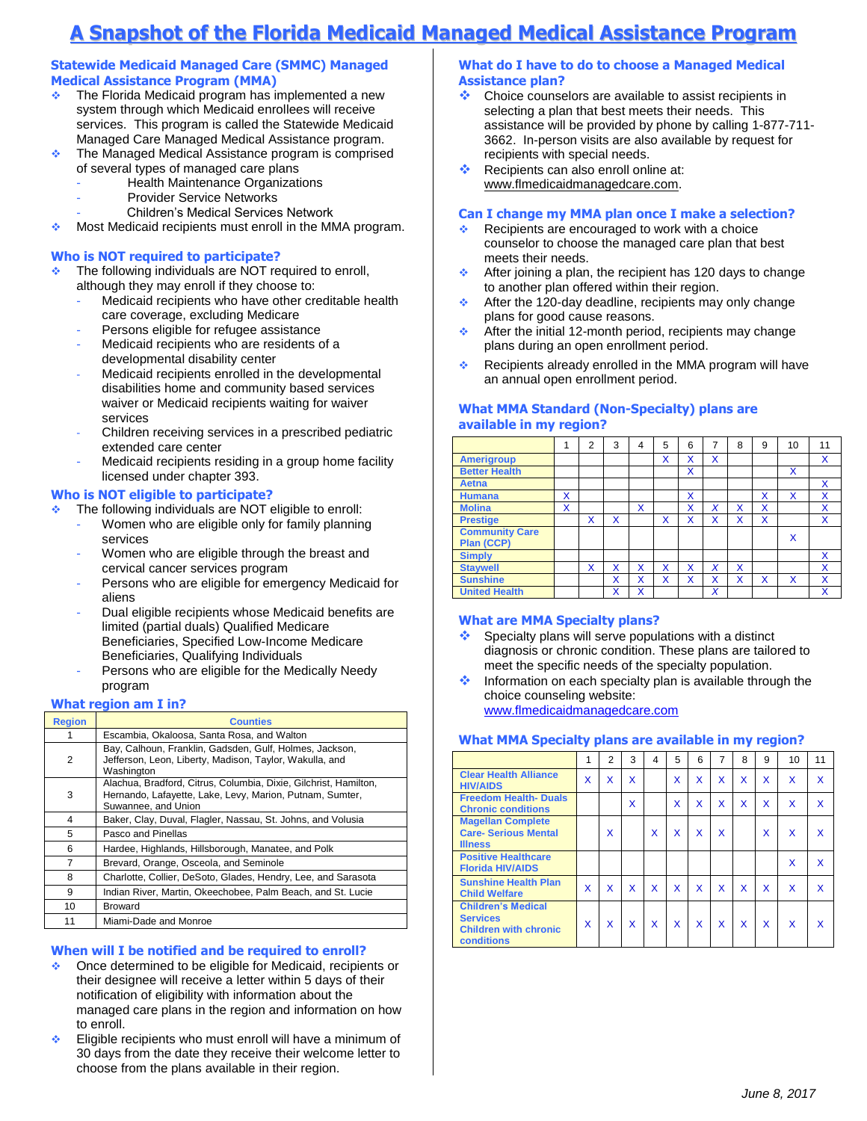# **A Snapshot of the Florida Medicaid Managed Medical Assistance Program**

### **Statewide Medicaid Managed Care (SMMC) Managed Medical Assistance Program (MMA)**

- $\cdot$  The Florida Medicaid program has implemented a new system through which Medicaid enrollees will receive services. This program is called the Statewide Medicaid Managed Care Managed Medical Assistance program.
- $\cdot$  The Managed Medical Assistance program is comprised of several types of managed care plans
	- Health Maintenance Organizations
	- Provider Service Networks
	- Children's Medical Services Network
- $\bullet$  Most Medicaid recipients must enroll in the MMA program.

# **Who is NOT required to participate?**

- **The following individuals are NOT required to enroll,** although they may enroll if they choose to:
	- Medicaid recipients who have other creditable health care coverage, excluding Medicare
	- Persons eligible for refugee assistance
	- Medicaid recipients who are residents of a developmental disability center
	- Medicaid recipients enrolled in the developmental disabilities home and community based services waiver or Medicaid recipients waiting for waiver services
	- Children receiving services in a prescribed pediatric extended care center
	- Medicaid recipients residing in a group home facility licensed under chapter 393.

# **Who is NOT eligible to participate?**

- **The following individuals are NOT eligible to enroll:** 
	- Women who are eligible only for family planning services
	- Women who are eligible through the breast and cervical cancer services program
	- Persons who are eligible for emergency Medicaid for aliens
	- Dual eligible recipients whose Medicaid benefits are limited (partial duals) Qualified Medicare Beneficiaries, Specified Low-Income Medicare Beneficiaries, Qualifying Individuals
	- Persons who are eligible for the Medically Needy program

#### **What region am I in?**

| <b>Region</b> | <b>Counties</b>                                                                                                                                     |
|---------------|-----------------------------------------------------------------------------------------------------------------------------------------------------|
|               | Escambia, Okaloosa, Santa Rosa, and Walton                                                                                                          |
| 2             | Bay, Calhoun, Franklin, Gadsden, Gulf, Holmes, Jackson,<br>Jefferson, Leon, Liberty, Madison, Taylor, Wakulla, and<br>Washington                    |
| 3             | Alachua, Bradford, Citrus, Columbia, Dixie, Gilchrist, Hamilton,<br>Hernando, Lafayette, Lake, Levy, Marion, Putnam, Sumter,<br>Suwannee, and Union |
| 4             | Baker, Clay, Duval, Flagler, Nassau, St. Johns, and Volusia                                                                                         |
| 5             | Pasco and Pinellas                                                                                                                                  |
| 6             | Hardee, Highlands, Hillsborough, Manatee, and Polk                                                                                                  |
| 7             | Brevard, Orange, Osceola, and Seminole                                                                                                              |
| 8             | Charlotte, Collier, DeSoto, Glades, Hendry, Lee, and Sarasota                                                                                       |
| 9             | Indian River, Martin, Okeechobee, Palm Beach, and St. Lucie                                                                                         |
| 10            | <b>Broward</b>                                                                                                                                      |
| 11            | Miami-Dade and Monroe                                                                                                                               |

#### **When will I be notified and be required to enroll?**

- ◆ Once determined to be eligible for Medicaid, recipients or their designee will receive a letter within 5 days of their notification of eligibility with information about the managed care plans in the region and information on how to enroll.
- Eligible recipients who must enroll will have a minimum of 30 days from the date they receive their welcome letter to choose from the plans available in their region.

### **What do I have to do to choose a Managed Medical Assistance plan?**

- \* Choice counselors are available to assist recipients in selecting a plan that best meets their needs. This assistance will be provided by phone by calling 1-877-711- 3662. In-person visits are also available by request for recipients with special needs.
- Recipients can also enroll online at: www.flmedicaidmanagedcare.com.

#### **Can I change my MMA plan once I make a selection?**

- Recipients are encouraged to work with a choice counselor to choose the managed care plan that best meets their needs.
- After joining a plan, the recipient has 120 days to change to another plan offered within their region.
- $\triangleleft$  After the 120-day deadline, recipients may only change plans for good cause reasons.
- $\triangle$  After the initial 12-month period, recipients may change plans during an open enrollment period.
- Recipients already enrolled in the MMA program will have an annual open enrollment period.

# **What MMA Standard (Non-Specialty) plans are available in my region?**

|                       |   | $\overline{2}$ | 3 | 4 | 5 | 6 | 7 | 8 | 9 | 10 | 11 |
|-----------------------|---|----------------|---|---|---|---|---|---|---|----|----|
| <b>Amerigroup</b>     |   |                |   |   | х | x | x |   |   |    | X  |
| <b>Better Health</b>  |   |                |   |   |   | X |   |   |   | x  |    |
| Aetna                 |   |                |   |   |   |   |   |   |   |    | X  |
| <b>Humana</b>         | x |                |   |   |   | x |   |   | x | x  | X  |
| <b>Molina</b>         | x |                |   | X |   | x | x | x | X |    | X  |
| <b>Prestige</b>       |   | x              | X |   | x | X | X | X | X |    | X  |
| <b>Community Care</b> |   |                |   |   |   |   |   |   |   | X  |    |
| <b>Plan (CCP)</b>     |   |                |   |   |   |   |   |   |   |    |    |
| <b>Simply</b>         |   |                |   |   |   |   |   |   |   |    | X  |
| <b>Staywell</b>       |   | x              | x | X | X | X | X | X |   |    | X  |
| <b>Sunshine</b>       |   |                | x | X | x | x | x | x | x | x  | X  |
| <b>United Health</b>  |   |                | x | X |   |   | X |   |   |    | x  |

#### **What are MMA Specialty plans?**

- Specialty plans will serve populations with a distinct diagnosis or chronic condition. These plans are tailored to meet the specific needs of the specialty population.
- Information on each specialty plan is available through the choice counseling website: [www.flmedicaidmanagedcare.com](http://www.flmedicaidmanagedcare.com/)

#### **What MMA Specialty plans are available in my region?**

|                                                                                                   | 1 | $\overline{2}$ | 3 | 4 | 5 | 6 | 7 | 8 | 9 | 10 | 11           |
|---------------------------------------------------------------------------------------------------|---|----------------|---|---|---|---|---|---|---|----|--------------|
| <b>Clear Health Alliance</b><br><b>HIV/AIDS</b>                                                   | X | X              | X |   | X | X | X | X | X | X  | X            |
| <b>Freedom Health-Duals</b><br><b>Chronic conditions</b>                                          |   |                | X |   | X | X | X | X | X | x  | X            |
| <b>Magellan Complete</b><br><b>Care- Serious Mental</b><br><b>Illness</b>                         |   | X              |   | X | X | x | x |   | X | x  | x            |
| <b>Positive Healthcare</b><br><b>Florida HIV/AIDS</b>                                             |   |                |   |   |   |   |   |   |   | X  | $\mathsf{x}$ |
| <b>Sunshine Health Plan</b><br><b>Child Welfare</b>                                               | X | X              | X | X | X | X | X | X | X | x  | x            |
| <b>Children's Medical</b><br><b>Services</b><br><b>Children with chronic</b><br><b>conditions</b> | x | x              | x | x | X | x | x | x | X | x  |              |